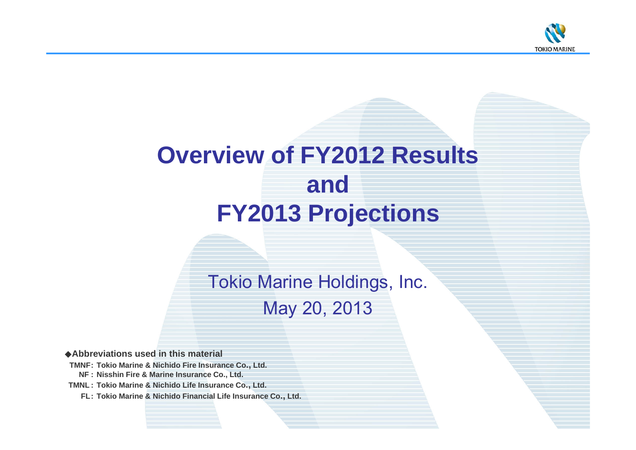

# **Overview of FY2012 Results and FY2013 Projections**

Tokio Marine Holdings, Inc. May 20, 2013

◆**Abbreviations used in this material**

**TMNF: Tokio Marine & Nichido Fire Insurance Co., Ltd.**

**NF : Nisshin Fire & Marine Insurance Co., Ltd.**

**TMNL : Tokio Marine & Nichido Life Insurance Co., Ltd.**

**FL: Tokio Marine & Nichido Financial Life Insurance Co., Ltd.**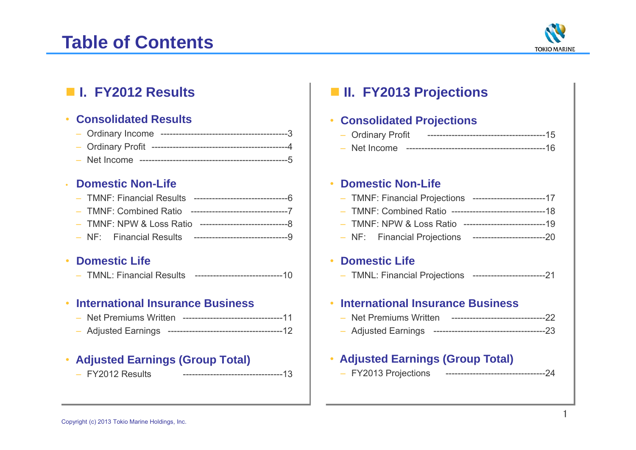# **Table of Contents**



# **I. FY2012 Results**

### •**Consolidated Results**

- Ordinary Income ------------------------------------------3
- Ordinary Profit ---------------------------------------------4
- Net Income -------------------------------------------------5

### •**Domestic Non-Life**

### •**Domestic Life**

– TMNL: Financial Results -----------------------------10

### •**International Insurance Business**

- Net Premiums Written ---------------------------------11
- Adjusted Earnings --------------------------------------12

# • **Adjusted Earnings (Group Total)**

- FY2012 Results

FY2012 Results ---------------------------------13

# **II. FY2013 Projections**

# • **Consolidated Projections**

- Ordinary Profit ---------------------------------------15
- Net Income ----------------------------------------------16

# • **Domestic Non-Life**

- TMNF: Financial Projections ------------------------17
- TMNF: Combined Ratio -------------------------------18
- TMNF: NPW & Loss Ratio ---------------------------19
- NF: Financial Projections ------------------------20

# • **Domestic Life**

– TMNL: Financial Projections ------------------------21

# • **International Insurance Business**

- Net Premiums Written -------------------------------22
- Adjusted Earnings -------------------------------------23

### •**Adjusted Earnings (Group Total)**

– FY2013 Projections ---------------------------------24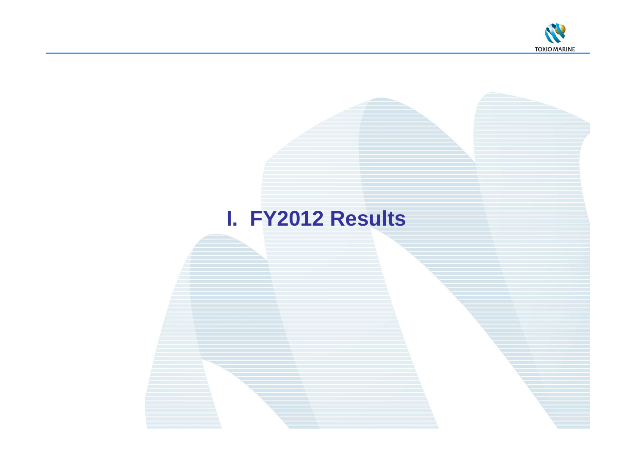

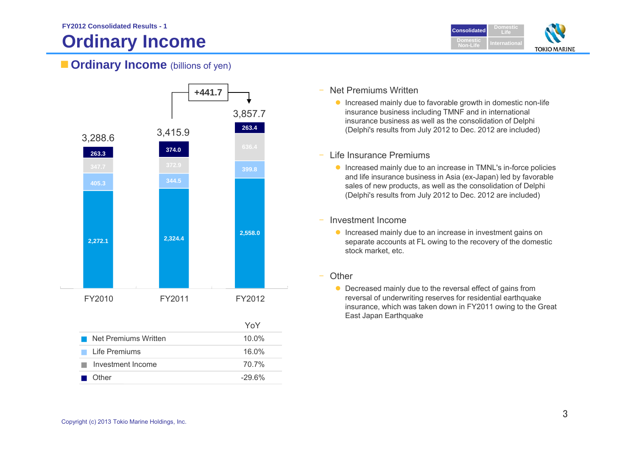# **Ordinary Income**



# **Cordinary Income** (billions of yen)



# Net Premiums Written

- **Increased mainly due to favorable growth in domestic non-life** insurance business including TMNF and in international insurance business as well as the consolidation of Delphi (Delphi's results from July 2012 to Dec. 2012 are included)
- Life Insurance Premiums
	- **•** Increased mainly due to an increase in TMNL's in-force policies and life insurance business in Asia (ex-Japan) led by favorable sales of new products, as well as the consolidation of Delphi (Delphi's results from July 2012 to Dec. 2012 are included)
- – Investment Income
	- **Increased mainly due to an increase in investment gains on** separate accounts at FL owing to the recovery of the domestic stock market, etc.
- **Other** 
	- Decreased mainly due to the reversal effect of gains from reversal of underwriting reserves for residential earthquake insurance, which was taken down in FY2011 owing to the Great East Japan Earthquake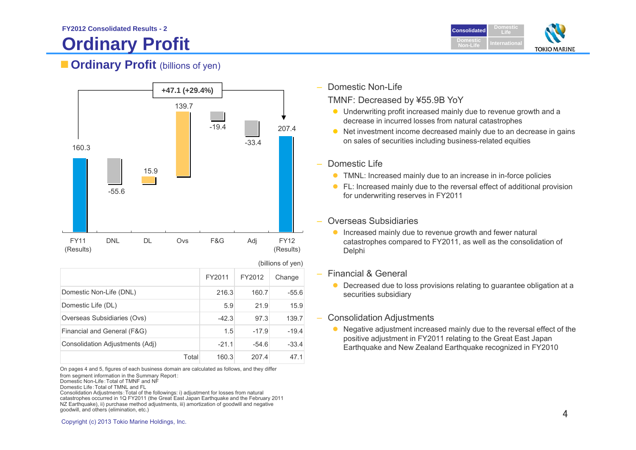# **Ordinary Profit**



# **Cordinary Profit** (billions of yen)



|                                 | (DIIIIONS OF VEN) |         |         |  |
|---------------------------------|-------------------|---------|---------|--|
|                                 | FY2011            | FY2012  | Change  |  |
| Domestic Non-Life (DNL)         | 216.3             | 160.7   | $-55.6$ |  |
| Domestic Life (DL)              | 5.9               | 21.9    | 15.9    |  |
| Overseas Subsidiaries (Ovs)     | $-42.3$           | 97.3    | 139.7   |  |
| Financial and General (F&G)     | 1.5               | $-17.9$ | $-19.4$ |  |
| Consolidation Adjustments (Adj) | $-21.1$           | $-54.6$ | $-33.4$ |  |
| Total                           | 160.3             | 207.4   | 47.1    |  |

On pages 4 and 5, figures of each business domain are calculated as follows, and they differ from segment information in the Summary Report:

Domestic Non-Life:Total of TMNF and NF

Domestic Life:Total of TMNL and FL

Consolidation Adjustments:Total of the followings: i) adjustment for losses from natural catastrophes occurred in 1Q FY2011 (the Great East Japan Earthquake and the February 2011 NZ Earthquake), ii) purchase method adjustments, iii) amortization of goodwill and negative goodwill, and others (elimination, etc.)  $4$ 

Domestic Non-Life

TMNF: Decreased by ¥55.9B YoY

- Underwriting profit increased mainly due to revenue growth and a decrease in incurred losses from natural catastrophes
- Net investment income decreased mainly due to an decrease in gains on sales of securities including business-related equities
- Domestic Life
	- **TMNL:** Increased mainly due to an increase in in-force policies
	- FL: Increased mainly due to the reversal effect of additional provision for underwriting reserves in FY2011
- Overseas Subsidiaries
	- **Increased mainly due to revenue growth and fewer natural** catastrophes compared to FY2011, as well as the consolidation of **Delphi**
- – Financial & General
	- Decreased due to loss provisions relating to guarantee obligation at a securities subsidiary
	- Consolidation Adjustments
		- Negative adjustment increased mainly due to the reversal effect of the positive adjustment in FY2011 relating to the Great East Japan Earthquake and New Zealand Earthquake recognized in FY2010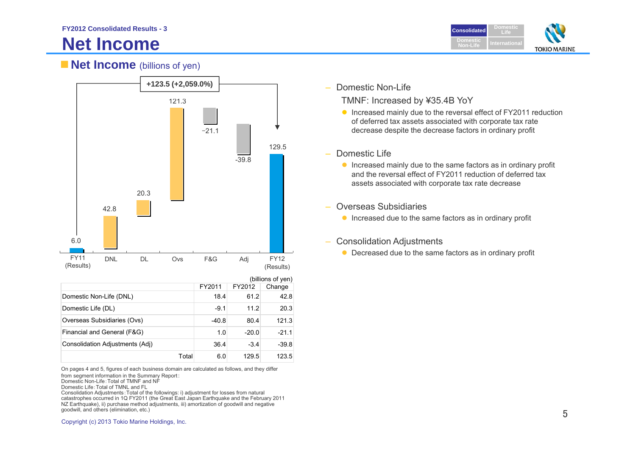# **Net Income**



# **Net Income** (billions of yen)



| (billions of yen)               |         |         |         |
|---------------------------------|---------|---------|---------|
|                                 | FY2011  | FY2012  | Change  |
| Domestic Non-Life (DNL)         | 18.4    | 61.2    | 42.8    |
| Domestic Life (DL)              | $-9.1$  | 11.2    | 20.3    |
| Overseas Subsidiaries (Ovs)     | $-40.8$ | 80.4    | 121.3   |
| Financial and General (F&G)     | 1.0     | $-20.0$ | $-21.1$ |
| Consolidation Adjustments (Adj) | 36.4    | $-3.4$  | $-39.8$ |
| Total                           | 6.0     | 129.5   | 123.5   |

On pages 4 and 5, figures of each business domain are calculated as follows, and they differ from segment information in the Summary Report:

Domestic Non-Life:Total of TMNF and NF

Domestic Life:Total of TMNL and FL

Consolidation Adjustments:Total of the followings: i) adjustment for losses from natural catastrophes occurred in 1Q FY2011 (the Great East Japan Earthquake and the February 2011 NZ Earthquake), ii) purchase method adjustments, iii) amortization of goodwill and negative goodwill, and others (elimination, etc.)

 $\overline{\phantom{0}}$ Domestic Non-Life

TMNF: Increased by ¥35.4B YoY

- Increased mainly due to the reversal effect of FY2011 reduction of deferred tax assets associated with corporate tax rate decrease despite the decrease factors in ordinary profit
- – Domestic Life
	- **Increased mainly due to the same factors as in ordinary profit** and the reversal effect of FY2011 reduction of deferred tax assets associated with corporate tax rate decrease
- Overseas Subsidiaries
	- **Increased due to the same factors as in ordinary profit**
- Consolidation Adjustments
	-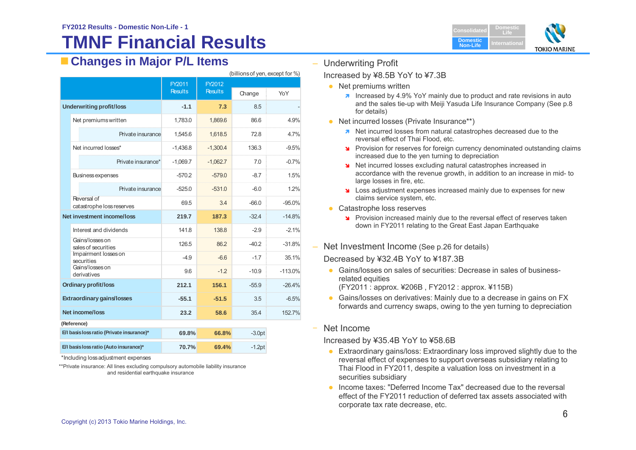# **TMNF Financial Results**

| <b>Consolidated</b>         | <b>Domestic</b> |                     |
|-----------------------------|-----------------|---------------------|
| <b>Domestic</b><br>Non-Life | International   | <b>TOKIO MARINE</b> |

# **Changes in Major P/L Items**

|                                        |                                           | FY2011<br>FY2012 |                |          |           |  |
|----------------------------------------|-------------------------------------------|------------------|----------------|----------|-----------|--|
|                                        |                                           | <b>Results</b>   | <b>Results</b> | Change   | YoY       |  |
| <b>Underwriting profit/loss</b>        |                                           | $-1.1$           | 7.3            | 8.5      |           |  |
|                                        | Net premiums written                      | 1,783.0          | 1,869.6        | 86.6     | 4.9%      |  |
|                                        | Private insurance                         | 1,545.6          | 1,618.5        | 72.8     | 4.7%      |  |
|                                        | Net incurred losses*                      | $-1,436.8$       | $-1,300.4$     | 136.3    | $-9.5%$   |  |
|                                        | Private insurance*                        | $-1,069.7$       | $-1,062.7$     | 7.0      | $-0.7%$   |  |
|                                        | <b>Business expenses</b>                  | $-570.2$         | $-579.0$       | $-8.7$   | 1.5%      |  |
|                                        | Private insurance                         | $-525.0$         | $-531.0$       | $-6.0$   | 1.2%      |  |
|                                        | Reversal of<br>catastrophe loss reserves  | 69.5             | 3.4            | $-66.0$  | $-95.0%$  |  |
|                                        | Net investment income/loss                | 219.7            | 187.3          | $-32.4$  | $-14.8%$  |  |
|                                        | Interest and dividends                    | 141.8            | 138.8          | $-2.9$   | $-2.1%$   |  |
|                                        | Gains/losses on<br>sales of securities    | 126.5            | 86.2           | $-40.2$  | $-31.8%$  |  |
|                                        | Impairment losses on<br>securities        | $-4.9$           | $-6.6$         | $-1.7$   | 35.1%     |  |
|                                        | Gains/losses on<br>derivatives            | 9.6              | $-1.2$         | $-10.9$  | $-113.0%$ |  |
|                                        | <b>Ordinary profit/loss</b>               | 212.1            | 156.1          | $-55.9$  | $-26.4%$  |  |
| <b>Extraordinary gains/losses</b>      |                                           | $-55.1$          | $-51.5$        | 3.5      | $-6.5%$   |  |
| Net income/loss                        |                                           | 23.2             | 58.6           | 35.4     | 152.7%    |  |
|                                        | (Reference)                               |                  |                |          |           |  |
|                                        | E/I basis loss ratio (Private insurance)* | 69.8%            | 66.8%          | $-3.0pt$ |           |  |
| E/I basis loss ratio (Auto insurance)* |                                           | 70.7%            | 69.4%          | $-1.2pt$ |           |  |

\*Including loss adjustment expenses

\*\*Private insurance: All lines excluding compulsory automobile liability insurance and residential earthquake insurance

Underwriting Profit

 $\Delta$  (billions of yen, except for  $\frac{1}{2}$ )

# Increased by ¥8.5B YoY to ¥7.3B

- Net premiums written
	- **I** Increased by 4.9% YoY mainly due to product and rate revisions in auto and the sales tie-up with Meiji Yasuda Life Insurance Company (See p.8 for details)
- Net incurred losses (Private Insurance\*\*)
	- **A** Net incurred losses from natural catastrophes decreased due to the reversal effect of Thai Flood, etc.
	- **P** Provision for reserves for foreign currency denominated outstanding claims increased due to the yen turning to depreciation
	- **Net incurred losses excluding natural catastrophes increased in** accordance with the revenue growth, in addition to an increase in mid- to large losses in fire, etc.
	- **S** Loss adjustment expenses increased mainly due to expenses for new claims service system, etc.
- Catastrophe loss reserves
	- Provision increased mainly due to the reversal effect of reserves taken down in FY2011 relating to the Great East Japan Earthquake
- Net Investment Income (See p.26 for details)

Decreased by ¥32.4B YoY to ¥187.3B

 Gains/losses on sales of securities: Decrease in sales of businessrelated equities

(FY2011 : approx. ¥206B , FY2012 : approx. ¥115B)

- Gains/losses on derivatives: Mainly due to a decrease in gains on FX forwards and currency swaps, owing to the yen turning to depreciation
- Net Income

Increased by ¥35.4B YoY to ¥58.6B

- **Extraordinary gains/loss: Extraordinary loss improved slightly due to the** reversal effect of expenses to support overseas subsidiary relating to Thai Flood in FY2011, despite a valuation loss on investment in a securities subsidiary
- Income taxes: "Deferred Income Tax" decreased due to the reversal effect of the FY2011 reduction of deferred tax assets associated with corporate tax rate decrease, etc.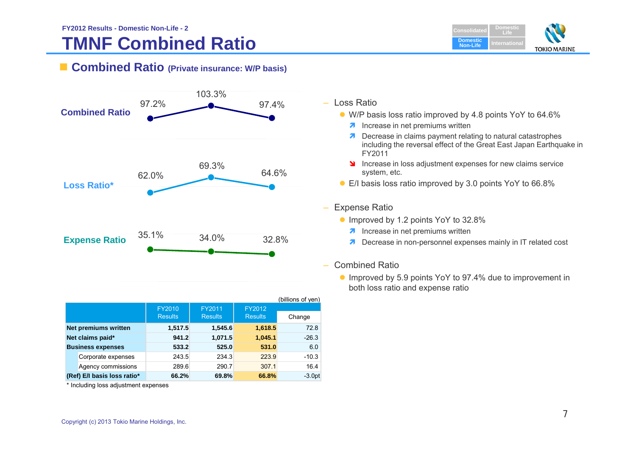# **TMNF Combined Ratio**

**DomesticConsolidatedLifeDomestic Non-LifeTOKIO MARINE** 

# **Combined Ratio (Private insurance: W/P basis)**



|  | Loss Ratio |
|--|------------|
|--|------------|

- W/P basis loss ratio improved by 4.8 points YoY to 64.6%
	- **1** Increase in net premiums written
	- **7** Decrease in claims payment relating to natural catastrophes including the reversal effect of the Great East Japan Earthquake in FY2011
	- **Increase in loss adjustment expenses for new claims service** system, etc.
- E/I basis loss ratio improved by 3.0 points YoY to 66.8%
- Expense Ratio
	- Improved by 1.2 points YoY to 32.8%
		- **A** Increase in net premiums written
		- **7** Decrease in non-personnel expenses mainly in IT related cost
- Combined Ratio
	- Improved by 5.9 points YoY to 97.4% due to improvement in both loss ratio and expense ratio

|                             |                    |                |                |                | (billions of yen) |
|-----------------------------|--------------------|----------------|----------------|----------------|-------------------|
|                             |                    | FY2010         | FY2011         | FY2012         |                   |
|                             |                    | <b>Results</b> | <b>Results</b> | <b>Results</b> | Change            |
| <b>Net premiums written</b> |                    | 1,517.5        | 1,545.6        | 1,618.5        | 72.8              |
| Net claims paid*            |                    | 941.2          | 1,071.5        | 1,045.1        | $-26.3$           |
| <b>Business expenses</b>    |                    | 533.2          | 525.0          | 531.0          | 6.0               |
|                             | Corporate expenses | 243.5          | 234.3          | 223.9          | $-10.3$           |
|                             | Agency commissions | 289.6          | 290.7          | 307.1          | 16.4              |
| (Ref) E/I basis loss ratio* |                    | 66.2%          | 69.8%          | 66.8%          | $-3.0pt$          |

\* Including loss adjustment expenses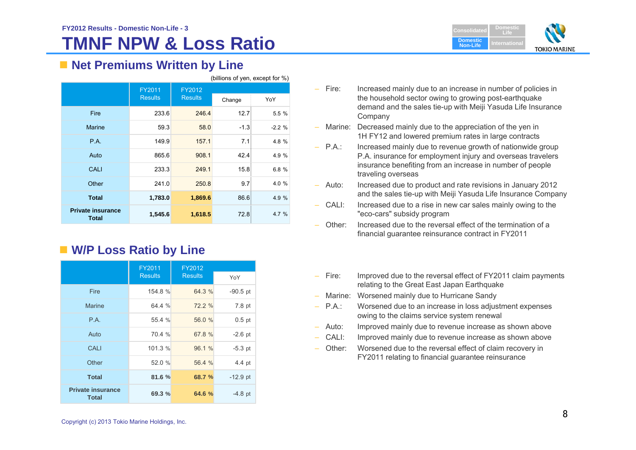# **TMNF NPW & Loss Ratio**

(billions of yen, except for  $\%$ )



# ■ Net Premiums Written by Line

|                                          |                |                | $(5.005)$ $(5.005)$ $(5.005)$ |         |
|------------------------------------------|----------------|----------------|-------------------------------|---------|
|                                          | FY2011         | FY2012         |                               |         |
|                                          | <b>Results</b> | <b>Results</b> | Change                        | YoY     |
| Fire                                     | 233.6          | 246.4          | 12.7                          | 5.5 %   |
| <b>Marine</b>                            | 59.3           | 58.0           | $-1.3$                        | $-2.2%$ |
| P.A.                                     | 149.9          | 157.1          | 7.1.                          | 4.8 %   |
| Auto                                     | 865.6          | 908.1          | 42.4                          | 4.9 %   |
| CALI                                     | 233.3          | 249.1          | 15.8                          | 6.8%    |
| Other                                    | 241.0          | 250.8          | 9.7                           | 4.0 %   |
| <b>Total</b>                             | 1,783.0        | 1,869.6        | 86.6                          | 4.9 %   |
| <b>Private insurance</b><br><b>Total</b> | 1,545.6        | 1,618.5        | 72.8                          | 4.7%    |

# **W/P Loss Ratio by Line**

|                                          | FY2011         | FY2012         |            |
|------------------------------------------|----------------|----------------|------------|
|                                          | <b>Results</b> | <b>Results</b> | YoY        |
| Fire                                     | 154.8 %        | 64.3 %         | $-90.5$ pt |
| <b>Marine</b>                            | 64.4 %         | 72.2 %         | 7.8 pt     |
| P.A.                                     | 55.4 %         | 56.0 %         | $0.5$ pt   |
| Auto                                     | 70.4 %         | 67.8 %         | $-2.6$ pt  |
| <b>CALI</b>                              | 101.3 %        | 96.1 %         | $-5.3$ pt  |
| Other                                    | 52.0 %         | 56.4 %         | 4.4 pt     |
| <b>Total</b>                             | 81.6 %         | 68.7 %         | $-12.9$ pt |
| <b>Private insurance</b><br><b>Total</b> | 69.3 %         | 64.6 %         | $-4.8$ pt  |

–Increased mainly due to an increase in number of policies in the household sector owing to growing post-earthquake demand and the sales tie-up with Meiji Yasuda Life Insurance Company

- Marine: Decreased mainly due to the appreciation of the yen in 1H FY12 and lowered premium rates in large contracts
- $-$  P.A.: Increased mainly due to revenue growth of nationwide group P.A. insurance for employment injury and overseas travelers insurance benefiting from an increase in number of people traveling overseas
- Auto: Increased due to product and rate revisions in January 2012 and the sales tie-up with Meiji Yasuda Life Insurance Company
- – CALI: Increased due to a rise in new car sales mainly owing to the "eco-cars" subsidy program
- Other: Increased due to the reversal effect of the termination of a financial guarantee reinsurance contract in FY2011
- – Fire: Improved due to the reversal effect of FY2011 claim payments relating to the Great East Japan Earthquake
- –Marine: Worsened mainly due to Hurricane Sandy
- – P.A.: Worsened due to an increase in loss adjustment expenses owing to the claims service system renewal
- –Auto: Improved mainly due to revenue increase as shown above
- CALI: Improved mainly due to revenue increase as shown above
- Other: Worsened due to the reversal effect of claim recovery in FY2011 relating to financial guarantee reinsurance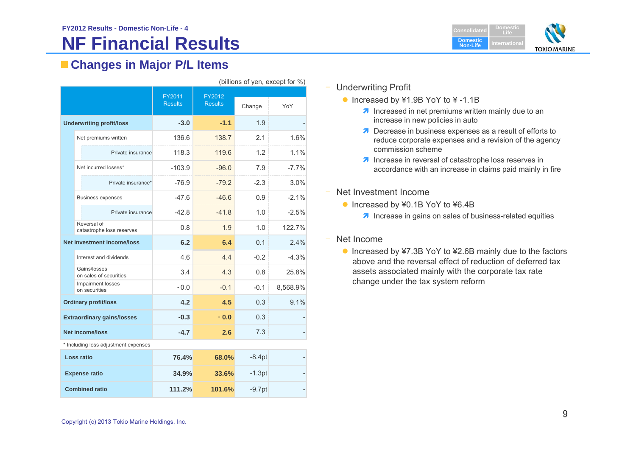# **NF Financial Results**



# **Changes in Major P/L Items**

| (billions of yen, except for %)      |                                          |                          |                          |          |          |
|--------------------------------------|------------------------------------------|--------------------------|--------------------------|----------|----------|
|                                      |                                          | FY2011<br><b>Results</b> | FY2012<br><b>Results</b> | Change   | YoY      |
|                                      | <b>Underwriting profit/loss</b>          | $-3.0$                   | $-1.1$                   | 1.9      |          |
|                                      | Net premiums written                     | 136.6                    | 138.7                    | 2.1      | 1.6%     |
|                                      | Private insurance                        | 118.3                    | 119.6                    | 1.2      | 1.1%     |
|                                      | Net incurred losses*                     | $-103.9$                 | $-96.0$                  | 7.9      | $-7.7%$  |
|                                      | Private insurance*                       | $-76.9$                  | $-79.2$                  | $-2.3$   | 3.0%     |
|                                      | <b>Business expenses</b>                 | $-47.6$                  | $-46.6$                  | 0.9      | $-2.1%$  |
|                                      | Private insurance                        | $-42.8$                  | $-41.8$                  | 1.0      | $-2.5%$  |
|                                      | Reversal of<br>catastrophe loss reserves | 0.8                      | 1.9                      | 1.0      | 122.7%   |
|                                      | <b>Net Investment income/loss</b>        | 6.2                      | 6.4                      | 0.1      | 2.4%     |
|                                      | Interest and dividends                   | 4.6                      | 4.4                      | $-0.2$   | $-4.3%$  |
|                                      | Gains/losses<br>on sales of securities   | 3.4                      | 4.3                      | 0.8      | 25.8%    |
|                                      | Impairment losses<br>on securities       | $-0.0$                   | $-0.1$                   | $-0.1$   | 8,568.9% |
|                                      | <b>Ordinary profit/loss</b>              | 4.2                      | 4.5                      | 0.3      | 9.1%     |
|                                      | <b>Extraordinary gains/losses</b>        | $-0.3$                   | $-0.0$                   | 0.3      |          |
| <b>Net income/loss</b>               |                                          | $-4.7$                   | 2.6                      | 7.3      |          |
| * Including loss adjustment expenses |                                          |                          |                          |          |          |
| Loss ratio                           |                                          | 76.4%                    | 68.0%                    | $-8.4pt$ |          |
|                                      | <b>Expense ratio</b>                     | 34.9%                    | 33.6%                    | $-1.3pt$ |          |
| <b>Combined ratio</b>                |                                          | 111.2%                   | 101.6%                   | $-9.7pt$ |          |

# – Underwriting Profit

- Increased by ¥1.9B YoY to ¥ -1.1B
	- $\lambda$  Increased in net premiums written mainly due to an increase in new policies in auto
	- **Decrease in business expenses as a result of efforts to** reduce corporate expenses and a revision of the agency commission scheme
	- $\lambda$  Increase in reversal of catastrophe loss reserves in accordance with an increase in claims paid mainly in fire
- Net Investment Income
	- Increased by ¥0.1B YoY to ¥6.4B
		- $\lambda$  Increase in gains on sales of business-related equities

### –Net Income

● Increased by ¥7.3B YoY to ¥2.6B mainly due to the factors above and the reversal effect of reduction of deferred tax assets associated mainly with the corporate tax rate change under the tax system reform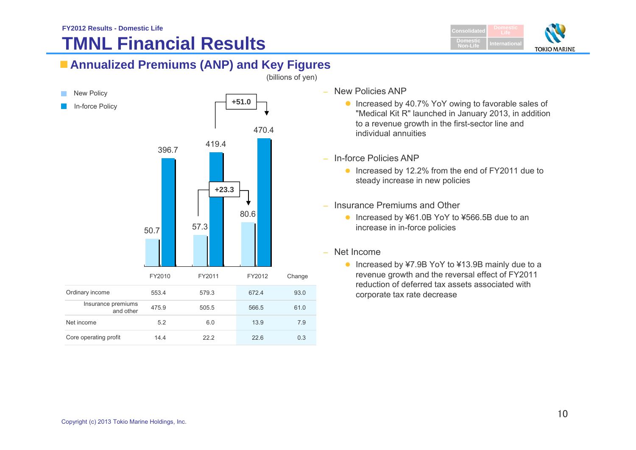# **TMNL Financial Results**



# **Annualized Premiums (ANP) and Key Figures**



– New Policies ANP

- Increased by 40.7% YoY owing to favorable sales of "Medical Kit R" launched in January 2013, in addition to a revenue growth in the first-sector line and individual annuities
- In-force Policies ANP
	- Increased by 12.2% from the end of FY2011 due to steady increase in new policies
- Insurance Premiums and Other
	- Increased by ¥61.0B YoY to ¥566.5B due to an increase in in-force policies
- Net Income
	- Increased by ¥7.9B YoY to ¥13.9B mainly due to a revenue growth and the reversal effect of FY2011 reduction of deferred tax assets associated with corporate tax rate decrease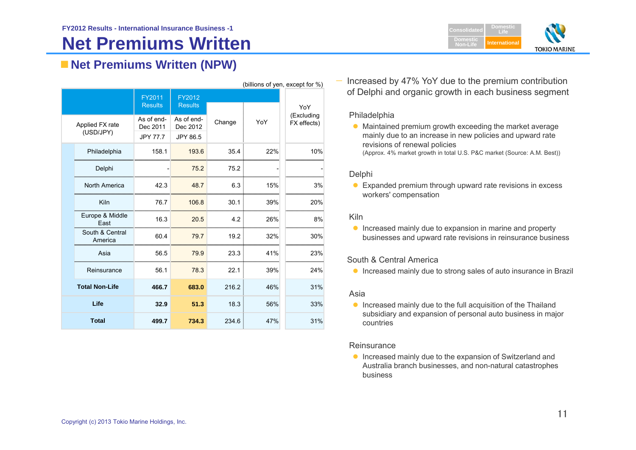# **Net Premiums Written**



# **Net Premiums Written (NPW)**

| (Dillions of year, except for 70) |                                           |                                    |        |     |                           |
|-----------------------------------|-------------------------------------------|------------------------------------|--------|-----|---------------------------|
|                                   | FY2011<br><b>Results</b>                  | FY2012<br><b>Results</b>           |        |     | YoY                       |
| Applied FX rate<br>(USD/JPY)      | As of end-<br>Dec 2011<br><b>JPY 77.7</b> | As of end-<br>Dec 2012<br>JPY 86.5 | Change | YoY | (Excluding<br>FX effects) |
| Philadelphia                      | 158.1                                     | 193.6                              | 35.4   | 22% | 10%                       |
| Delphi                            |                                           | 75.2                               | 75.2   |     |                           |
| North America                     | 42.3                                      | 48.7                               | 6.3    | 15% | 3%                        |
| Kiln                              | 76.7                                      | 106.8                              | 30.1   | 39% | 20%                       |
| Europe & Middle<br>East           | 16.3                                      | 20.5                               | 4.2    | 26% | 8%                        |
| South & Central<br>America        | 60.4                                      | 79.7                               | 19.2   | 32% | 30%                       |
| Asia                              | 56.5                                      | 79.9                               | 23.3   | 41% | 23%                       |
| Reinsurance                       | 56.1                                      | 78.3                               | 22.1   | 39% | 24%                       |
| <b>Total Non-Life</b>             | 466.7                                     | 683.0                              | 216.2  | 46% | 31%                       |
| Life                              | 32.9                                      | 51.3                               | 18.3   | 56% | 33%                       |
| <b>Total</b>                      | 499.7                                     | 734.3                              | 234.6  | 47% | 31%                       |

 Increased by 47% YoY due to the premium contribution of Delphi and organic growth in each business segment

### Philadelphia

 $(6.90)$  and  $(6.90)$  and  $(6.90)$ 

• Maintained premium growth exceeding the market average mainly due to an increase in new policies and upward rate revisions of renewal policies

(Approx. 4% market growth in total U.S. P&C market (Source: A.M. Best))

### Delphi

● Expanded premium through upward rate revisions in excess workers' compensation

### Kiln

**Increased mainly due to expansion in marine and property** businesses and upward rate revisions in reinsurance business

### South & Central America

**Increased mainly due to strong sales of auto insurance in Brazil** 

### Asia

**Increased mainly due to the full acquisition of the Thailand** subsidiary and expansion of personal auto business in major countries

### **Reinsurance**

**Increased mainly due to the expansion of Switzerland and** Australia branch businesses, and non-natural catastrophes business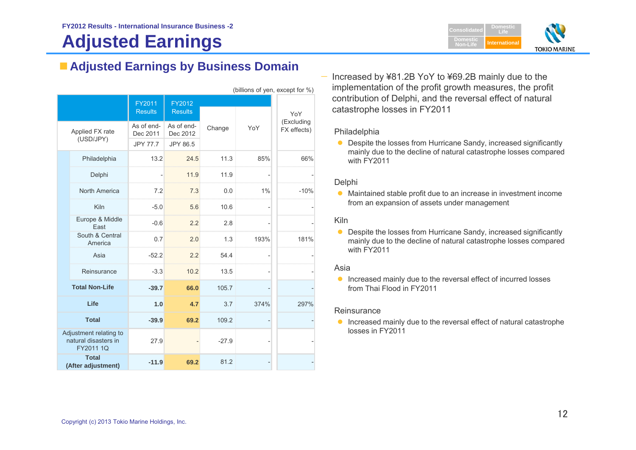# **Adjusted Earnings**



# **Adjusted Earnings by Business Domain**

|                 | (billions of yen, except for %)                             |                        |                        |         |      |                           |
|-----------------|-------------------------------------------------------------|------------------------|------------------------|---------|------|---------------------------|
|                 |                                                             | FY2011                 | FY2012                 |         |      |                           |
|                 |                                                             | <b>Results</b>         | <b>Results</b>         |         |      | YoY                       |
| Applied FX rate |                                                             | As of end-<br>Dec 2011 | As of end-<br>Dec 2012 | Change  | YoY  | (Excluding<br>FX effects) |
|                 | (USD/JPY)                                                   | <b>JPY 77.7</b>        | JPY 86.5               |         |      |                           |
|                 | Philadelphia                                                | 13.2                   | 24.5                   | 11.3    | 85%  | 66%                       |
|                 | Delphi                                                      |                        | 11.9                   | 11.9    |      |                           |
|                 | North America                                               | 7.2                    | 7.3                    | 0.0     | 1%   | $-10%$                    |
|                 | Kiln                                                        | $-5.0$                 | 5.6                    | 10.6    |      |                           |
|                 | Europe & Middle<br>East                                     | $-0.6$                 | 2.2                    | 2.8     |      |                           |
|                 | South & Central<br>America                                  | 0.7                    | 2.0                    | 1.3     | 193% | 181%                      |
|                 | Asia                                                        | $-52.2$                | 2.2                    | 54.4    |      |                           |
|                 | Reinsurance                                                 | $-3.3$                 | 10.2                   | 13.5    |      |                           |
|                 | <b>Total Non-Life</b>                                       | $-39.7$                | 66.0                   | 105.7   |      |                           |
|                 | Life                                                        | 1.0                    | 4.7                    | 3.7     | 374% | 297%                      |
|                 | <b>Total</b>                                                | $-39.9$                | 69.2                   | 109.2   |      |                           |
|                 | Adjustment relating to<br>natural disasters in<br>FY2011 1Q | 27.9                   |                        | $-27.9$ |      |                           |
|                 | <b>Total</b><br>(After adjustment)                          | $-11.9$                | 69.2                   | 81.2    |      |                           |

 Increased by ¥81.2B YoY to ¥69.2B mainly due to the implementation of the profit growth measures, the profit contribution of Delphi, and the reversal effect of natural catastrophe losses in FY2011

### Philadelphia

● Despite the losses from Hurricane Sandy, increased significantly mainly due to the decline of natural catastrophe losses compared with FY2011

### Delphi

 Maintained stable profit due to an increase in investment income from an expansion of assets under management

### Kiln

0 Despite the losses from Hurricane Sandy, increased significantly mainly due to the decline of natural catastrophe losses compared with FY2011

### Asia

**Increased mainly due to the reversal effect of incurred losses** from Thai Flood in FY2011

### **Reinsurance**

**Increased mainly due to the reversal effect of natural catastrophe** losses in FY2011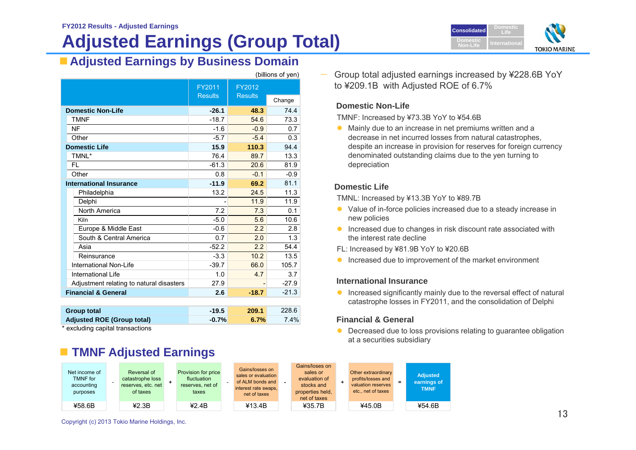# **Adjusted Earnings (Group Total)**

 $(hillione of von)$ 



# **Adjusted Earnings by Business Domain**

|                                          |                          |                          | ווסע וט פווטוווען |
|------------------------------------------|--------------------------|--------------------------|-------------------|
|                                          | FY2011<br><b>Results</b> | FY2012<br><b>Results</b> |                   |
|                                          |                          |                          | Change            |
| <b>Domestic Non-Life</b>                 | $-26.1$                  | 48.3                     | 74.4              |
| <b>TMNF</b>                              | $-18.7$                  | 54.6                     | 73.3              |
| NF                                       | $-1.6$                   | $-0.9$                   | 0.7               |
| Other                                    | $-5.7$                   | $-5.4$                   | 0.3               |
| <b>Domestic Life</b>                     | 15.9                     | 110.3                    | 94.4              |
| TMNL*                                    | 76.4                     | 89.7                     | 13.3              |
| FL                                       | $-61.3$                  | 20.6                     | 81.9              |
| Other                                    | 0.8                      | $-0.1$                   | $-0.9$            |
| <b>International Insurance</b>           | $-11.9$                  | 69.2                     | 81.1              |
| Philadelphia                             | 13.2                     | 24.5                     | 11.3              |
| Delphi                                   |                          | 11.9                     | 11.9              |
| North America                            | 7.2                      | 7.3                      | 0.1               |
| Kiln                                     | $-5.0$                   | 5.6                      | 10.6              |
| Europe & Middle East                     | $-0.6$                   | 2.2                      | 2.8               |
| South & Central America                  | 0.7                      | 2.0                      | 1.3               |
| Asia                                     | $-52.2$                  | 2.2                      | 54.4              |
| Reinsurance                              | $-3.3$                   | 10.2                     | 13.5              |
| International Non-Life                   | $-39.7$                  | 66.0                     | 105.7             |
| International Life                       | 1.0                      | 4.7                      | 3.7               |
| Adjustment relating to natural disasters | 27.9                     |                          | $-27.9$           |
| <b>Financial &amp; General</b>           | 2.6                      | $-18.7$                  | $-21.3$           |
|                                          |                          |                          |                   |

|         | 209.1   | 228.6 |
|---------|---------|-------|
| $-0.7%$ | 6.7%    | 7.4%  |
|         | $-19.5$ |       |

\* excluding capital transactions

# **TMNF Adjusted Earnings**

 Group total adjusted earnings increased by ¥228.6B YoY to ¥209.1B with Adjusted ROE of 6.7%

# **Domestic Non-Life**

TMNF: Increased by ¥73.3B YoY to ¥54.6B

 Mainly due to an increase in net premiums written and a decrease in net incurred losses from natural catastrophes, despite an increase in provision for reserves for foreign currency denominated outstanding claims due to the yen turning to depreciation

### **Domestic Life**

TMNL: Increased by ¥13.3B YoY to ¥89.7B

- Value of in-force policies increased due to a steady increase in new policies
- **Increased due to changes in risk discount rate associated with** the interest rate decline
- FL: Increased by ¥81.9B YoY to ¥20.6B
- **Increased due to improvement of the market environment**

### **International Insurance**

**Increased significantly mainly due to the reversal effect of natural** catastrophe losses in FY2011, and the consolidation of Delphi

# **Financial & General**

**O** Decreased due to loss provisions relating to guarantee obligation at a securities subsidiary

| Net income of<br><b>TMNF</b> for<br>accounting<br>purposes | Reversal of<br>catastrophe loss<br>reserves, etc. net<br>of taxes | Provision for price<br>fluctuation<br>reserves, net of<br>taxes | Gains/losses on<br>sales or evaluation<br>of ALM bonds and<br>interest rate swaps,<br>net of taxes | Gains/loses on<br>sales or<br>evaluation of<br>stocks and<br>properties held,<br>net of taxes | Other extraordinary<br>profits/losses and<br>valuation reserves<br>etc., net of taxes | <b>Adjusted</b><br>earnings of<br><b>TMNF</b> |
|------------------------------------------------------------|-------------------------------------------------------------------|-----------------------------------------------------------------|----------------------------------------------------------------------------------------------------|-----------------------------------------------------------------------------------------------|---------------------------------------------------------------------------------------|-----------------------------------------------|
| ¥58.6B                                                     | 42.3B                                                             | 42.4B                                                           | ¥13.4B                                                                                             | ¥35.7B                                                                                        | 445.0B                                                                                | ¥54.6B                                        |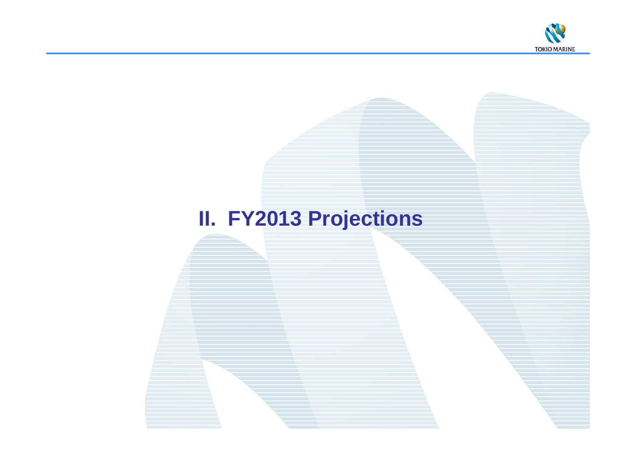

# **II. FY2013 Projections**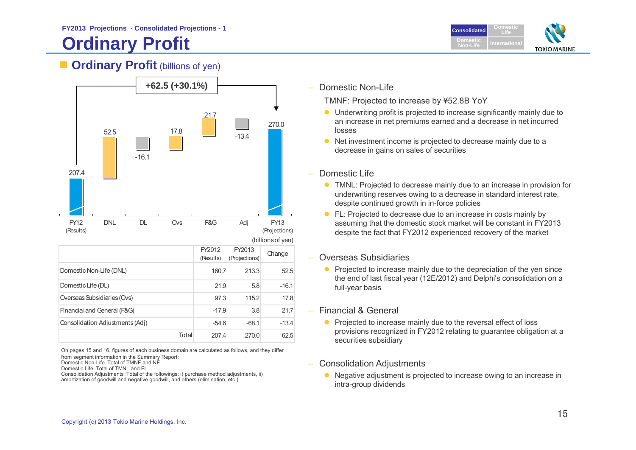# **Ordinary Profit**



# **Cordinary Profit** (billions of yen)



On pages 15 and 16, figures of each business domain are calculated as follows, and they differ from segment information in the Summary Report:

Domestic Non-Life:Total of TMNF and NF

Domestic Life:Total of TMNL and FL

Consolidation Adjustments:Total of the followings: i) purchase method adjustments, ii) amortization of goodwill and negative goodwill, and others (elimination, etc.)

Domestic Non-Life

TMNF: Projected to increase by ¥52.8B YoY

- Underwriting profit is projected to increase significantly mainly due to an increase in net premiums earned and a decrease in net incurred losses
- Net investment income is projected to decrease mainly due to a decrease in gains on sales of securities
- Domestic Life
	- TMNL: Projected to decrease mainly due to an increase in provision for underwriting reserves owing to a decrease in standard interest rate, despite continued growth in in-force policies
	- **•** FL: Projected to decrease due to an increase in costs mainly by assuming that the domestic stock market will be constant in FY2013 despite the fact that FY2012 experienced recovery of the market

# Overseas Subsidiaries

- Projected to increase mainly due to the depreciation of the yen since the end of last fiscal year (12E/2012) and Delphi's consolidation on a full-year basis
- Financial & General
	- Projected to increase mainly due to the reversal effect of loss provisions recognized in FY2012 relating to guarantee obligation at a securities subsidiary
- Consolidation Adjustments
	- Negative adjustment is projected to increase owing to an increase in intra-group dividends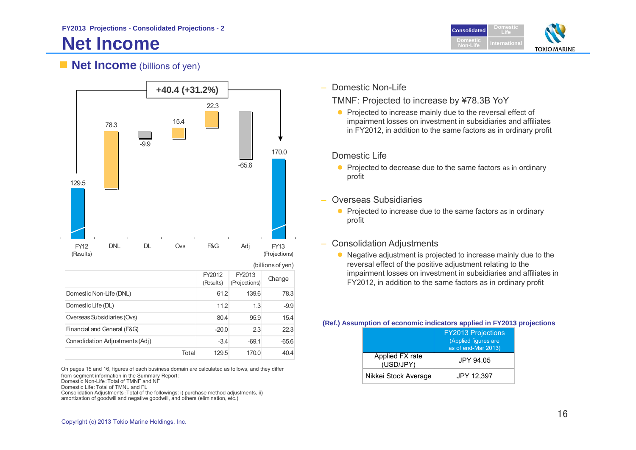# **Net Income**

**DomesticConsolidatedLifeDomesticNon-LifeTOKIO MARINE** 

# **Net Income** (billions of yen)



| ווטע וטטווטווען                 |                     |                         |         |  |
|---------------------------------|---------------------|-------------------------|---------|--|
|                                 | FY2012<br>(Results) | FY2013<br>(Projections) | Change  |  |
| Domestic Non-Life (DNL)         | 61.2                | 139.6                   | 78.3    |  |
| Domestic Life (DL)              | 11.2                | 1.3                     | $-9.9$  |  |
| Overseas Subsidiaries (Ovs)     | 80.4                | 95.9                    | 15.4    |  |
| Financial and General (F&G)     | $-20.0$             | 2.3                     | 22.3    |  |
| Consolidation Adjustments (Adj) | $-3.4$              | $-69.1$                 | $-65.6$ |  |
| Total                           | 129.5               | 170.0                   | 40.4    |  |

On pages 15 and 16, figures of each business domain are calculated as follows, and they differ from segment information in the Summary Report:

Domestic Non-Life:Total of TMNF and NF

Domestic Life:Total of TMNL and FL

Consolidation Adjustments:Total of the followings: i) purchase method adjustments, ii) amortization of goodwill and negative goodwill, and others (elimination, etc.)

Domestic Non-Life

TMNF: Projected to increase by ¥78.3B YoY

• Projected to increase mainly due to the reversal effect of impairment losses on investment in subsidiaries and affiliates in FY2012, in addition to the same factors as in ordinary profit

# Domestic Life

- Projected to decrease due to the same factors as in ordinary profit
- Overseas Subsidiaries
	- Projected to increase due to the same factors as in ordinary profit
- Consolidation Adjustments
	- Negative adjustment is projected to increase mainly due to the reversal effect of the positive adjustment relating to the impairment losses on investment in subsidiaries and affiliates in FY2012, in addition to the same factors as in ordinary profit

### **(Ref.) Assumption of economic indicators applied in FY2013 projections**

|                              | <b>FY2013 Projections</b><br>(Applied figures are<br>as of end-Mar 2013) |
|------------------------------|--------------------------------------------------------------------------|
| Applied FX rate<br>(USD/JPY) | JPY 94.05                                                                |
| Nikkei Stock Average         | JPY 12,397                                                               |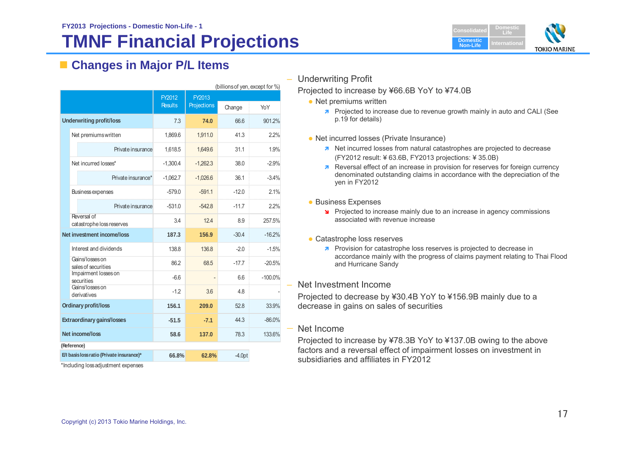# **TMNF Financial Projections**



# **Changes in Major P/L Items**

|                                           | (billions of yen, except for %)          |                |             |          |           |  |  |  |
|-------------------------------------------|------------------------------------------|----------------|-------------|----------|-----------|--|--|--|
|                                           |                                          | FY2012         | FY2013      |          |           |  |  |  |
|                                           |                                          | <b>Results</b> | Projections | Change   | YoY       |  |  |  |
|                                           | <b>Underwriting profit/loss</b>          | 7.3            | 74.0        | 66.6     | 901.2%    |  |  |  |
|                                           | Net premiums written                     | 1,869.6        | 1,911.0     | 41.3     | 2.2%      |  |  |  |
|                                           | Private insurance                        | 1,618.5        | 1,649.6     | 31.1     | 1.9%      |  |  |  |
|                                           | Net incurred losses*                     | $-1,300.4$     | $-1,262.3$  | 38.0     | $-2.9%$   |  |  |  |
|                                           | Private insurance*                       | $-1,062.7$     | $-1,026.6$  | 36.1     | $-3.4%$   |  |  |  |
|                                           | Business expenses                        | $-579.0$       | $-5911$     | $-120$   | 21%       |  |  |  |
|                                           | Private insurance                        | $-531.0$       | $-542.8$    | $-11.7$  | 2.2%      |  |  |  |
|                                           | Reversal of<br>catastrophe loss reserves | 3.4            | 124         | 89       | 257.5%    |  |  |  |
|                                           | Net investment income/loss               | 187.3          | 156.9       | $-30.4$  | $-16.2%$  |  |  |  |
|                                           | Interest and dividends                   | 138.8          | 136.8       | $-2.0$   | $-1.5%$   |  |  |  |
|                                           | Gains/losses on<br>sales of securities   | 86.2           | 68.5        | $-17.7$  | $-20.5%$  |  |  |  |
|                                           | Impairment losses on<br>securities       | $-6.6$         |             | 6.6      | $-100.0%$ |  |  |  |
|                                           | Gains/losses on<br>derivatives           | $-1.2$         | 3.6         | 4.8      |           |  |  |  |
| <b>Ordinary profit/loss</b>               |                                          | 156.1          | 209.0       | 52.8     | 33.9%     |  |  |  |
| <b>Extraordinary gains/losses</b>         |                                          | $-51.5$        | $-7.1$      | 443      | $-86.0%$  |  |  |  |
| <b>Net income/loss</b>                    |                                          | 58.6           | 137.0       | 78.3     | 133.6%    |  |  |  |
|                                           | (Reference)                              |                |             |          |           |  |  |  |
| E/I basis loss ratio (Private insurance)* |                                          | 66.8%          | 62.8%       | $-4.0pt$ |           |  |  |  |

\*Including loss adjustment expenses

Underwriting Profit

### Projected to increase by ¥66.6B YoY to ¥74.0B

- Net premiums written
	- **7** Projected to increase due to revenue growth mainly in auto and CALI (See p.19 for details)
- Net incurred losses (Private Insurance)
	- **A** Net incurred losses from natural catastrophes are projected to decrease (FY2012 result: ¥ 63.6B, FY2013 projections: ¥ 35.0B)
	- **Reversal effect of an increase in provision for reserves for foreign currency** denominated outstanding claims in accordance with the depreciation of the yen in FY2012
- **Business Expenses** 
	- **Projected to increase mainly due to an increase in agency commissions** associated with revenue increase
- Catastrophe loss reserves
	- **7** Provision for catastrophe loss reserves is projected to decrease in accordance mainly with the progress of claims payment relating to Thai Flood and Hurricane Sandy
- Net Investment Income

Projected to decrease by ¥30.4B YoY to ¥156.9B mainly due to a decrease in gains on sales of securities

# Net Income

Projected to increase by ¥78.3B YoY to ¥137.0B owing to the above factors and a reversal effect of impairment losses on investment in subsidiaries and affiliates in FY2012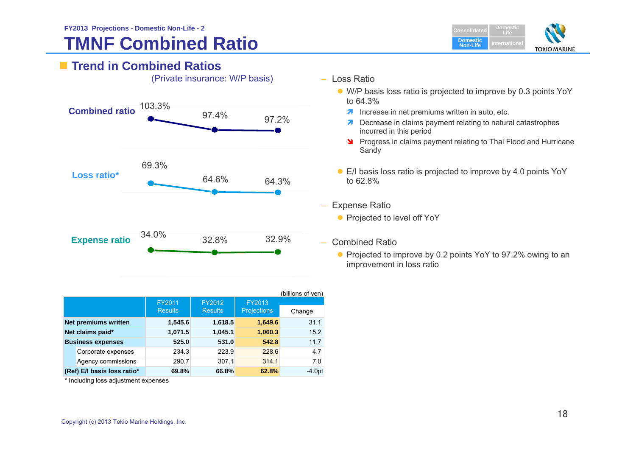# **TMNF Combined Ratio**



|                             |                |                |                    | (billions of yen) |
|-----------------------------|----------------|----------------|--------------------|-------------------|
|                             | FY2011         | FY2012         | FY2013             |                   |
|                             | <b>Results</b> | <b>Results</b> | <b>Projections</b> | Change            |
| <b>Net premiums written</b> | 1,545.6        | 1,618.5        | 1,649.6            | 31.1              |
| Net claims paid*            | 1,071.5        | 1,045.1        | 1,060.3            | 15.2              |
| <b>Business expenses</b>    | 525.0          | 531.0          | 542.8              | 11.7              |
| Corporate expenses          | 234.3          | 223.9          | 228.6              | 4.7               |
| Agency commissions          | 290.7          | 307.1          | 314.1              | 7.0               |
| (Ref) E/I basis loss ratio* | 69.8%          | 66.8%          | 62.8%              | $-4.0pt$          |

\* Including loss adjustment expenses

- Loss Ratio
	- W/P basis loss ratio is projected to improve by 0.3 points YoY to 64.3%
		- $\lambda$  Increase in net premiums written in auto, etc.
		- **7** Decrease in claims payment relating to natural catastrophes incurred in this period
		- **Progress in claims payment relating to Thai Flood and Hurricane** Sandy
	- E/I basis loss ratio is projected to improve by 4.0 points YoY to 62.8%
- Expense Ratio
	- **•** Projected to level off YoY
- Combined Ratio
	- Projected to improve by 0.2 points YoY to 97.2% owing to an improvement in loss ratio

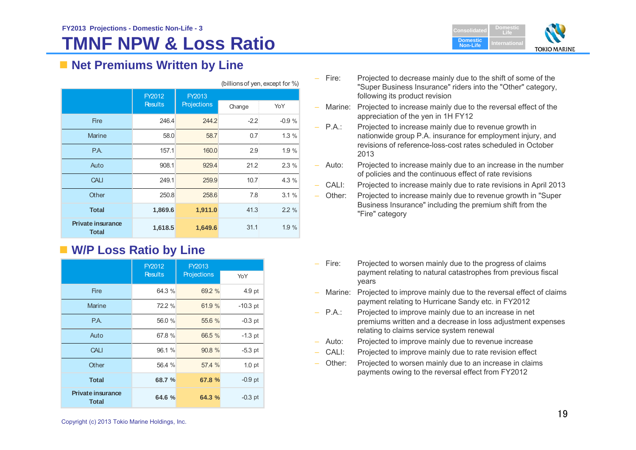# **TMNF NPW & Loss Ratio**



# ■ Net Premiums Written by Line

| (billions of yen, except for %)          |                |                    |                  |         |  |  |
|------------------------------------------|----------------|--------------------|------------------|---------|--|--|
|                                          | FY2012         | FY2013             |                  |         |  |  |
|                                          | <b>Results</b> | <b>Projections</b> | Change           | YoY     |  |  |
| <b>Fire</b>                              | 246.4          | 244.2              | $-2.2$           | $-0.9%$ |  |  |
| <b>Marine</b>                            | 58.0           | 58.7               | $0.7^{\circ}$    | 1.3%    |  |  |
| P.A.                                     | 157.1          | 160.0              | 2.9              | 1.9%    |  |  |
| Auto                                     | 908.1          | 929.4              | 21.2             | 2.3%    |  |  |
| <b>CALI</b>                              | 249.1          | 259.9              | 10.7             | 4.3 %   |  |  |
| Other                                    | 250.8          | 258.6              | 7.8 <sup>°</sup> | 3.1%    |  |  |
| <b>Total</b>                             | 1,869.6        | 1,911.0            | 41.3             | 2.2%    |  |  |
| <b>Private insurance</b><br><b>Total</b> | 1,618.5        | 1,649.6            | 31.1             | 1.9 %   |  |  |

# **W/P Loss Ratio by Line**

|                                          | FY2012         | FY2013      |                   |
|------------------------------------------|----------------|-------------|-------------------|
|                                          | <b>Results</b> | Projections | YoY               |
| <b>Fire</b>                              | 64.3 %         | 69.2 %      | 4.9 pt            |
| Marine                                   | 72.2 %         | 61.9 %      | $-10.3$ pt        |
| P.A.                                     | 56.0 %         | 55.6 %      | $-0.3$ pt         |
| Auto                                     | 67.8 %         | 66.5 %      | $-1.3$ pt         |
| <b>CALI</b>                              | 96.1 %         | 90.8 %      | $-5.3$ pt         |
| Other                                    | 56.4 %         | 57.4 %      | 1.0 <sub>pt</sub> |
| <b>Total</b>                             | 68.7 %         | 67.8 %      | $-0.9$ pt         |
| <b>Private insurance</b><br><b>Total</b> | 64.6 %         | 64.3 %      | $-0.3$ pt         |

–Projected to decrease mainly due to the shift of some of the "Super Business Insurance" riders into the "Other" category, following its product revision

 Marine: Projected to increase mainly due to the reversal effect of the appreciation of the yen in 1H FY12

–

- $-$  P.A. Projected to increase mainly due to revenue growth in nationwide group P.A. insurance for employment injury, and revisions of reference-loss-cost rates scheduled in October 2013
- –Projected to increase mainly due to an increase in the number of policies and the continuous effect of rate revisions
	- CALI: Projected to increase mainly due to rate revisions in April 2013
	- Other: Projected to increase mainly due to revenue growth in "Super Business Insurance" including the premium shift from the "Fire" category
- Fire: Projected to worsen mainly due to the progress of claims payment relating to natural catastrophes from previous fiscal years
- – Marine: Projected to improve mainly due to the reversal effect of claims payment relating to Hurricane Sandy etc. in FY2012
- $-$  P.A.: Projected to improve mainly due to an increase in net premiums written and a decrease in loss adjustment expenses relating to claims service system renewal
- Auto: Projected to improve mainly due to revenue increase
- CALI: Projected to improve mainly due to rate revision effect
- – Other: Projected to worsen mainly due to an increase in claims payments owing to the reversal effect from FY2012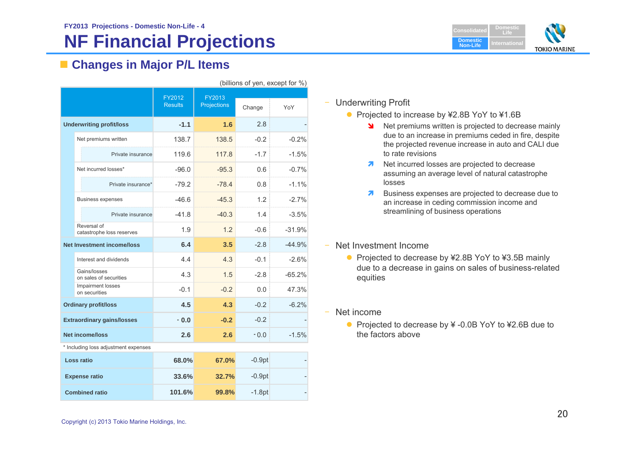# **NF Financial Projections**



# **Changes in Major P/L Items**

| (billions of yen, except for %) |                                          |                          |                       |          |          |  |
|---------------------------------|------------------------------------------|--------------------------|-----------------------|----------|----------|--|
|                                 |                                          | FY2012<br><b>Results</b> | FY2013<br>Projections | Change   | YoY      |  |
|                                 | <b>Underwriting profit/loss</b>          | $-1.1$                   | 1.6                   | 2.8      |          |  |
|                                 | Net premiums written                     | 138.7                    | 138.5                 | $-0.2$   | $-0.2%$  |  |
|                                 | Private insurance                        | 119.6                    | 117.8                 | $-1.7$   | $-1.5%$  |  |
|                                 | Net incurred losses*                     | $-96.0$                  | $-95.3$               | 0.6      | $-0.7%$  |  |
|                                 | Private insurance*                       | $-79.2$                  | $-78.4$               | 0.8      | $-1.1%$  |  |
|                                 | <b>Business expenses</b>                 | $-46.6$                  | $-45.3$               | 1.2      | $-2.7%$  |  |
|                                 | Private insurance                        | $-41.8$                  | $-40.3$               | 1.4      | $-3.5%$  |  |
|                                 | Reversal of<br>catastrophe loss reserves | 1.9                      | 1.2                   | $-0.6$   | $-31.9%$ |  |
|                                 | <b>Net Investment income/loss</b>        | 6.4                      | 3.5                   | $-2.8$   | $-44.9%$ |  |
|                                 | Interest and dividends                   | 4.4                      | 4.3                   | $-0.1$   | $-2.6%$  |  |
|                                 | Gains/losses<br>on sales of securities   | 4.3                      | 1.5                   | $-2.8$   | $-65.2%$ |  |
|                                 | Impairment losses<br>on securities       | $-0.1$                   | $-0.2$                | 0.0      | 47.3%    |  |
|                                 | <b>Ordinary profit/loss</b>              | 4.5                      | 4.3                   | $-0.2$   | $-6.2%$  |  |
|                                 | <b>Extraordinary gains/losses</b>        | $-0.0$                   | $-0.2$                | $-0.2$   |          |  |
| <b>Net income/loss</b>          |                                          | 2.6                      | 2.6                   | $-0.0$   | $-1.5%$  |  |
|                                 | * Including loss adjustment expenses     |                          |                       |          |          |  |
| Loss ratio                      |                                          | 68.0%                    | 67.0%                 | $-0.9pt$ |          |  |
|                                 | <b>Expense ratio</b>                     | 33.6%                    | 32.7%                 | $-0.9pt$ |          |  |
|                                 |                                          |                          |                       |          |          |  |

**101.6% 99.8%**

 $-1.8pt$ 

# – Underwriting Profit

- Projected to increase by ¥2.8B YoY to ¥1.6B
	- Net premiums written is projected to decrease mainly due to an increase in premiums ceded in fire, despite the projected revenue increase in auto and CALI due to rate revisions
	- **Net incurred losses are projected to decrease** assuming an average level of natural catastrophe losses
	- 7 Business expenses are projected to decrease due to an increase in ceding commission income and streamlining of business operations
- Net Investment Income
	- Projected to decrease by ¥2.8B YoY to ¥3.5B mainly due to a decrease in gains on sales of business-related equities
- Net income
	- Projected to decrease by ¥ -0.0B YoY to ¥2.6B due to the factors above

 **Combined ratio**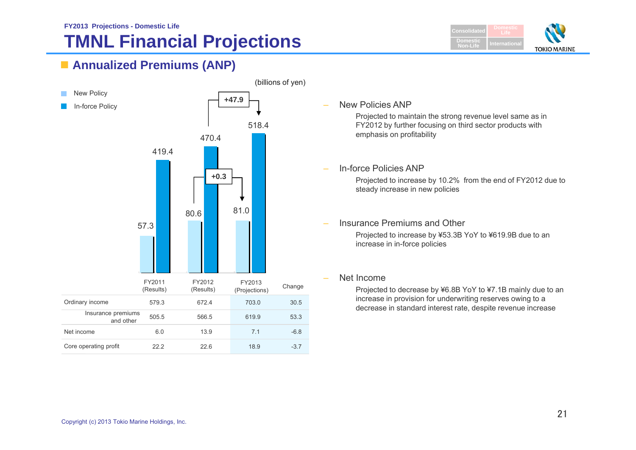# **TMNL Financial Projections**







New Policies ANP

Projected to maintain the strong revenue level same as in FY2012 by further focusing on third sector products with emphasis on profitability

In-force Policies ANP

Projected to increase by 10.2% from the end of FY2012 due to steady increase in new policies

 Insurance Premiums and Other Projected to increase by ¥53.3B YoY to ¥619.9B due to an increase in in-force policies

# Net Income

Projected to decrease by ¥6.8B YoY to ¥7.1B mainly due to an increase in provision for underwriting reserves owing to a decrease in standard interest rate, despite revenue increase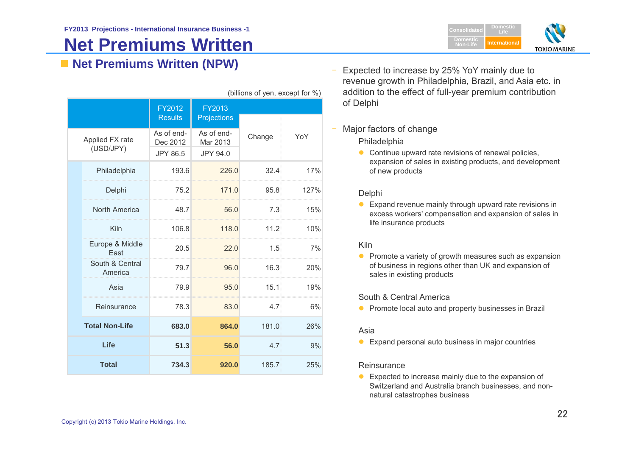# **Net Premiums Written**

**Net Premiums Written (NPW)** –

|                       | (DIIIUITO UI JULI, GAUGUL IUI 70) |                                    |                                           |        |      |  |  |
|-----------------------|-----------------------------------|------------------------------------|-------------------------------------------|--------|------|--|--|
|                       |                                   | FY2012<br><b>Results</b>           | FY2013<br>Projections                     |        |      |  |  |
|                       | Applied FX rate<br>(USD/JPY)      | As of end-<br>Dec 2012<br>JPY 86.5 | As of end-<br>Mar 2013<br><b>JPY 94.0</b> | Change | YoY  |  |  |
|                       | Philadelphia                      | 193.6                              | 226.0                                     | 32.4   | 17%  |  |  |
|                       | Delphi                            | 75.2                               | 171.0                                     | 95.8   | 127% |  |  |
|                       | North America                     | 48.7                               | 56.0                                      | 7.3    | 15%  |  |  |
|                       | Kiln                              | 106.8                              | 118.0                                     | 11.2   | 10%  |  |  |
|                       | Europe & Middle<br>East           | 20.5                               | 22.0                                      | 1.5    | 7%   |  |  |
|                       | South & Central<br>America        | 79.7                               | 96.0                                      | 16.3   | 20%  |  |  |
|                       | Asia                              | 79.9                               | 95.0                                      | 15.1   | 19%  |  |  |
|                       | Reinsurance                       | 78.3                               | 83.0                                      | 4.7    | 6%   |  |  |
| <b>Total Non-Life</b> |                                   | 683.0                              | 864.0                                     | 181.0  | 26%  |  |  |
|                       | Life                              | 51.3                               | 56.0                                      | 4.7    | 9%   |  |  |
|                       | <b>Total</b>                      | 734.3                              | 920.0                                     | 185.7  | 25%  |  |  |

revenue growth in Philadelphia, Brazil, and Asia etc. in addition to the effect of full-year premium contribution of Delphi  $(billione of von avoont for  $0$ .)$ 

### –Major factors of change

### Philadelphia

• Continue upward rate revisions of renewal policies, expansion of sales in existing products, and development of new products

Expected to increase by 25% YoY mainly due to

# Delphi

**Expand revenue mainly through upward rate revisions in** excess workers' compensation and expansion of sales in life insurance products

# Kiln

 $\bullet$  Promote a variety of growth measures such as expansion of business in regions other than UK and expansion of sales in existing products

# South & Central America

**•** Promote local auto and property businesses in Brazil

### Asia

**Expand personal auto business in major countries** 

### **Reinsurance**

 $\bullet$  Expected to increase mainly due to the expansion of Switzerland and Australia branch businesses, and nonnatural catastrophes business

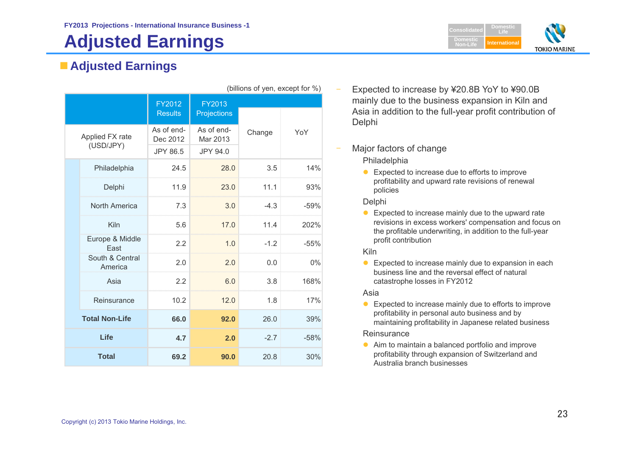# **Adjusted Earnings**

# **Adjusted Earnings**

| (billions of yen, except for %) |                          |                              |        |        |  |  |
|---------------------------------|--------------------------|------------------------------|--------|--------|--|--|
|                                 | FY2012<br><b>Results</b> | FY2013<br><b>Projections</b> |        |        |  |  |
| Applied FX rate<br>(USD/JPY)    | As of end-<br>Dec 2012   | As of end-<br>Mar 2013       | Change | YoY    |  |  |
|                                 | <b>JPY 86.5</b>          | <b>JPY 94.0</b>              |        |        |  |  |
| Philadelphia                    | 24.5                     | 28.0                         | 3.5    | 14%    |  |  |
| Delphi                          | 11.9                     | 23.0                         | 11.1   | 93%    |  |  |
| North America                   | 7.3                      | 3.0                          | $-4.3$ | $-59%$ |  |  |
| Kiln                            | 5.6                      | 17.0                         | 11.4   | 202%   |  |  |
| Europe & Middle<br>East         | 2.2                      | 1.0                          | $-1.2$ | $-55%$ |  |  |
| South & Central<br>America      | 2.0                      | 2.0                          | 0.0    | $0\%$  |  |  |
| Asia                            | 2.2                      | 6.0                          | 3.8    | 168%   |  |  |
| Reinsurance                     | 10.2                     | 12.0                         | 1.8    | 17%    |  |  |
| <b>Total Non-Life</b>           | 66.0                     | 92.0                         | 26.0   | 39%    |  |  |
| Life                            | 4.7                      | 2.0                          | $-2.7$ | $-58%$ |  |  |
| <b>Total</b>                    | 69.2                     | 90.0                         | 20.8   | 30%    |  |  |

- Expected to increase by ¥20.8B YoY to ¥90.0B
- mainly due to the business expansion in Kiln and Asia in addition to the full-year profit contribution of **Delphi**

# Major factors of change

# Philadelphia

● Expected to increase due to efforts to improve profitability and upward rate revisions of renewal policies

# Delphi

● Expected to increase mainly due to the upward rate revisions in excess workers' compensation and focus on the profitable underwriting, in addition to the full-year profit contribution

# Kiln

 $\bullet$  Expected to increase mainly due to expansion in each business line and the reversal effect of natural catastrophe losses in FY2012

# Asia

● Expected to increase mainly due to efforts to improve profitability in personal auto business and by maintaining profitability in Japanese related business

# **Reinsurance**

● Aim to maintain a balanced portfolio and improve profitability through expansion of Switzerland and Australia branch businesses

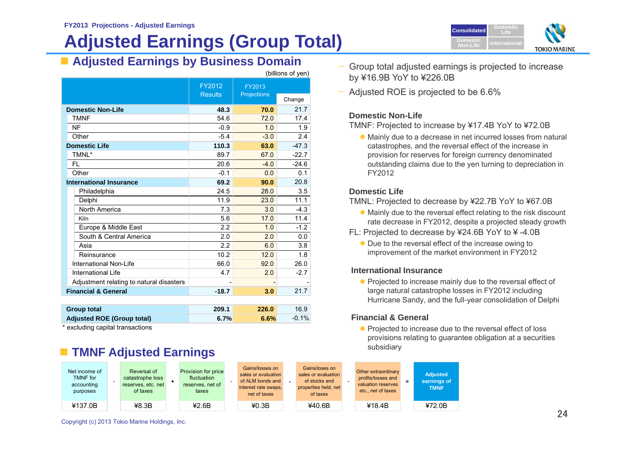# **Adjusted Earnings (Group Total)**

**Adjusted Earnings by Business Domain** —

|                                          |                          |                              | (billions of yen) |
|------------------------------------------|--------------------------|------------------------------|-------------------|
|                                          | FY2012<br><b>Results</b> | FY2013<br><b>Projections</b> |                   |
|                                          |                          |                              | Change            |
| <b>Domestic Non-Life</b>                 | 48.3                     | 70.0                         | 21.7              |
| <b>TMNF</b>                              | 54.6                     | 72.0                         | 17.4              |
| <b>NF</b>                                | $-0.9$                   | 1.0                          | 1.9               |
| Other                                    | $-5.4$                   | $-3.0$                       | 2.4               |
| <b>Domestic Life</b>                     | 110.3                    | 63.0                         | $-47.3$           |
| TMNL*                                    | 89.7                     | 67.0                         | $-22.7$           |
| FL                                       | 20.6                     | $-4.0$                       | $-24.6$           |
| Other                                    | $-0.1$                   | 0.0                          | 0.1               |
| <b>International Insurance</b>           | 69.2                     | 90.0                         | 20.8              |
| Philadelphia                             | 24.5                     | 28.0                         | 3.5               |
| Delphi                                   | 11.9                     | 23.0                         | 11.1              |
| North America                            | 7.3                      | 3.0                          | $-4.3$            |
| Kiln                                     | 5.6                      | 17.0                         | 11.4              |
| Europe & Middle East                     | 2.2                      | 1.0                          | $-1.2$            |
| South & Central America                  | 2.0                      | 2.0                          | 0.0               |
| Asia                                     | 2.2                      | 6.0                          | 3.8               |
| Reinsurance                              | 10.2                     | 12.0                         | 1.8               |
| International Non-Life                   | 66.0                     | 92.0                         | 26.0              |
| International Life                       | 4.7                      | 2.0                          | $-2.7$            |
| Adjustment relating to natural disasters |                          |                              |                   |
| <b>Financial &amp; General</b>           | $-18.7$                  | 3.0                          | 21.7              |
|                                          |                          |                              |                   |
| <b>Group total</b>                       | 209.1                    | 226.0                        | 16.9              |

 **Adjusted ROE (Group total) 6.7% 6.6%** -0.1% excluding capital transactions

# **TMNF Adjusted Earnings**

| Net income of<br><b>TMNF</b> for<br>accounting<br>purposes | Reversal of<br>catastrophe loss<br>reserves, etc. net<br>of taxes | <b>Provision for price</b><br>fluctuation<br>reserves, net of<br>taxes | Gains/losses on<br>sales or evaluation<br>of ALM bonds and<br>interest rate swaps,<br>net of taxes | Gains/loses on<br>sales or evaluation<br>of stocks and<br>properties held, net<br>of taxes | Other extraordinary<br>profits/losses and<br>valuation reserves<br>etc., net of taxes | <b>Adjusted</b><br>earnings of<br><b>TMNF</b> |
|------------------------------------------------------------|-------------------------------------------------------------------|------------------------------------------------------------------------|----------------------------------------------------------------------------------------------------|--------------------------------------------------------------------------------------------|---------------------------------------------------------------------------------------|-----------------------------------------------|
| ¥137.0B                                                    | 48.3B                                                             | 42.6B                                                                  | 40.3B                                                                                              | ¥40.6B                                                                                     | ¥18.4B                                                                                | ¥72.0B                                        |



- Group total adjusted earnings is projected to increase by ¥16.9B YoY to ¥226.0B
- Adjusted ROE is projected to be 6.6%

# **Domestic Non-Life**

TMNF: Projected to increase by ¥17.4B YoY to ¥72.0B

 Mainly due to a decrease in net incurred losses from natural catastrophes, and the reversal effect of the increase in provision for reserves for foreign currency denominated outstanding claims due to the yen turning to depreciation in FY2012

# **Domestic Life**

TMNL: Projected to decrease by ¥22.7B YoY to ¥67.0B

- Mainly due to the reversal effect relating to the risk discount rate decrease in FY2012, despite a projected steady growth
- FL: Projected to decrease by ¥24.6B YoY to ¥ -4.0B
	- Due to the reversal effect of the increase owing to improvement of the market environment in FY2012

# **International Insurance**

• Projected to increase mainly due to the reversal effect of large natural catastrophe losses in FY2012 including Hurricane Sandy, and the full-year consolidation of Delphi

# **Financial & General**

• Projected to increase due to the reversal effect of loss provisions relating to guarantee obligation at a securities subsidiary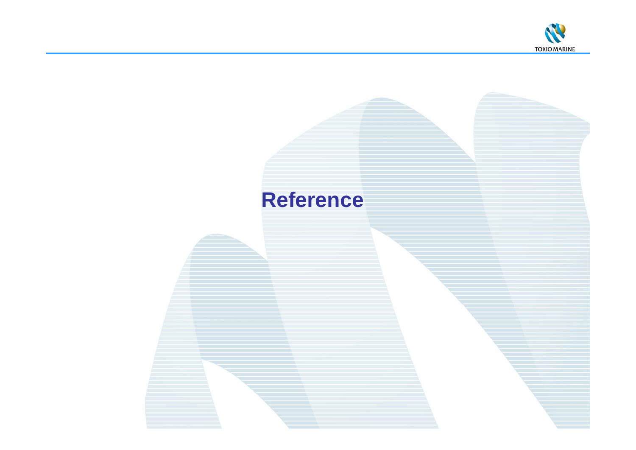

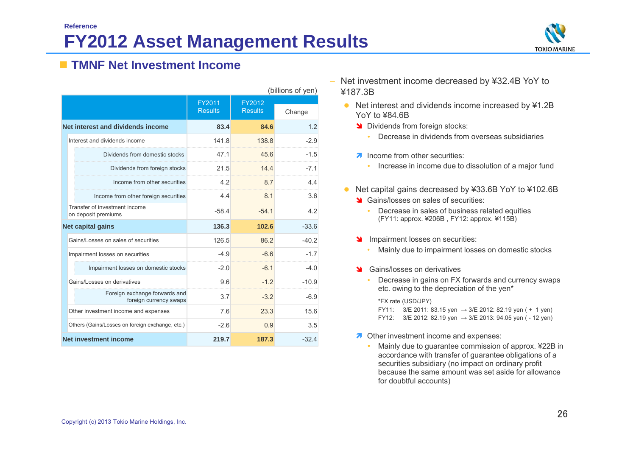

# **TMNF Net Investment Income**

|                          |                                                         | (billions of yen)        |                          |         |  |  |  |  |
|--------------------------|---------------------------------------------------------|--------------------------|--------------------------|---------|--|--|--|--|
|                          |                                                         | FY2011<br><b>Results</b> | FY2012<br><b>Results</b> | Change  |  |  |  |  |
|                          | Net interest and dividends income                       | 83.4                     | 84.6                     | 1.2     |  |  |  |  |
|                          | Interest and dividends income                           | 141.8                    | 138.8                    | $-2.9$  |  |  |  |  |
|                          | Dividends from domestic stocks                          | 47.1                     | 45.6                     | $-1.5$  |  |  |  |  |
|                          | Dividends from foreign stocks                           | 21.5                     | 14.4                     | $-7.1$  |  |  |  |  |
|                          | Income from other securities                            | 4.2                      | 8.7                      | 4.4     |  |  |  |  |
|                          | Income from other foreign securities                    | 4.4                      | 8.1                      | 3.6     |  |  |  |  |
|                          | Transfer of investment income<br>on deposit premiums    | $-58.4$                  | $-54.1$                  | 4.2     |  |  |  |  |
| <b>Net capital gains</b> |                                                         | 136.3                    | 102.6                    | $-33.6$ |  |  |  |  |
|                          | Gains/Losses on sales of securities                     | 126.5                    | 86.2                     | $-40.2$ |  |  |  |  |
|                          | Impairment losses on securities                         | $-4.9$                   | $-6.6$                   | $-1.7$  |  |  |  |  |
|                          | Impairment losses on domestic stocks                    | $-2.0$                   | $-6.1$                   | $-4.0$  |  |  |  |  |
|                          | Gains/Losses on derivatives                             | 9.6                      | $-1.2$                   | $-10.9$ |  |  |  |  |
|                          | Foreign exchange forwards and<br>foreign currency swaps | 3.7                      | $-3.2$                   | $-6.9$  |  |  |  |  |
|                          | Other investment income and expenses                    | 7.6                      | 23.3                     | 15.6    |  |  |  |  |
|                          | Others (Gains/Losses on foreign exchange, etc.)         | $-26$                    | 0.9                      | 3.5     |  |  |  |  |
|                          | Net investment income                                   | 219.7                    | 187.3                    | $-32.4$ |  |  |  |  |

- Net investment income decreased by ¥32.4B YoY to ¥187.3B
	- Net interest and dividends income increased by ¥1.2B YoY to ¥84.6B
		- Dividends from foreign stocks:
			- $\bullet$  . Decrease in dividends from overseas subsidiaries
		- **A** Income from other securities:
			- Increase in income due to dissolution of a major fund
	- Net capital gains decreased by ¥33.6B YoY to ¥102.6B
		- Stains/losses on sales of securities:
			- ٠ Decrease in sales of business related equities (FY11: approx. ¥206B , FY12: approx. ¥115B)
		- **IMPA** Impairment losses on securities:
			- Mainly due to impairment losses on domestic stocks
		- Stains/losses on derivatives
			- Decrease in gains on FX forwards and currency swaps etc. owing to the depreciation of the yen\*

\*FX rate (USD/JPY)

- FY11:  $3/E 2011: 83.15$  ven  $\rightarrow$  3/E 2012: 82.19 ven ( + 1 ven)
- FY12:  $3/E 2012$ : 82.19 yen  $\rightarrow$  3/E 2013: 94.05 yen ( 12 yen)
- **A** Other investment income and expenses:
	- Mainly due to guarantee commission of approx. ¥22B in accordance with transfer of guarantee obligations of a securities subsidiary (no impact on ordinary profit because the same amount was set aside for allowance for doubtful accounts)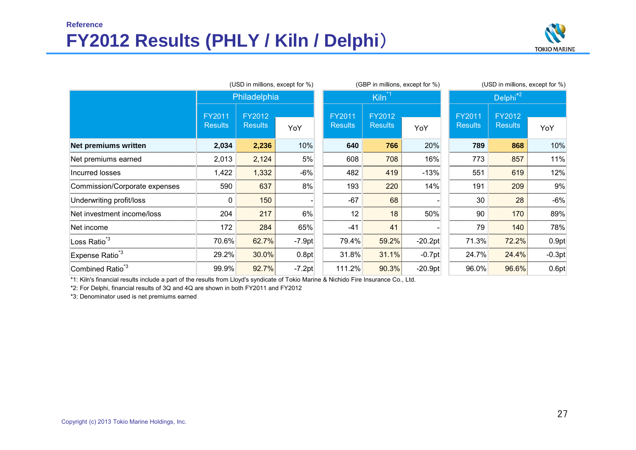# **ReferenceFY2012 Results (PHLY / Kiln / Delphi**)



|                               |                          | (GBP in millions, except for %) |          | (USD in millions, except for %) |                          |           |                          |                          |          |  |
|-------------------------------|--------------------------|---------------------------------|----------|---------------------------------|--------------------------|-----------|--------------------------|--------------------------|----------|--|
|                               |                          | Philadelphia                    |          |                                 | Kiln <sup>*1</sup>       |           | Delphi <sup>*2</sup>     |                          |          |  |
|                               | FY2011<br><b>Results</b> | FY2012<br><b>Results</b>        | YoY      | <b>FY2011</b><br><b>Results</b> | FY2012<br><b>Results</b> | YoY       | FY2011<br><b>Results</b> | FY2012<br><b>Results</b> | YoY      |  |
| <b>Net premiums written</b>   | 2,034                    | 2,236                           | 10%      | 640                             | 766                      | 20%       | 789                      | 868                      | 10%      |  |
| Net premiums earned           | 2,013                    | 2,124                           | 5%       | 608                             | 708                      | 16%       | 773                      | 857                      | 11%      |  |
| Incurred losses               | 1,422                    | 1,332                           | $-6%$    | 482                             | 419                      | $-13%$    | 551                      | 619                      | 12%      |  |
| Commission/Corporate expenses | 590                      | 637                             | 8%       | 193                             | 220                      | 14%       | 191                      | 209                      | 9%       |  |
| Underwriting profit/loss      | 0                        | 150                             |          | $-67$                           | 68                       |           | 30                       | 28                       | $-6%$    |  |
| Net investment income/loss    | 204                      | 217                             | 6%       | 12                              | 18                       | 50%       | 90                       | 170                      | 89%      |  |
| Net income                    | 172                      | 284                             | 65%      | $-41$                           | 41                       |           | 79                       | 140                      | 78%      |  |
| Loss Ratio <sup>*3</sup>      | 70.6%                    | 62.7%                           | $-7.9pt$ | 79.4%                           | 59.2%                    | $-20.2pt$ | 71.3%                    | 72.2%                    | 0.9pt    |  |
| Expense Ratio <sup>*3</sup>   | 29.2%                    | 30.0%                           | 0.8pt    | 31.8%                           | 31.1%                    | $-0.7pt$  | 24.7%                    | 24.4%                    | $-0.3pt$ |  |
| Combined Ratio <sup>*3</sup>  | 99.9%                    | 92.7%                           | $-7.2pt$ | 111.2%                          | 90.3%                    | $-20.9pt$ | 96.0%                    | 96.6%                    | 0.6pt    |  |

\*1: Kiln's financial results include a part of the results from Lloyd's syndicate of Tokio Marine & Nichido Fire Insurance Co., Ltd.

\*2: For Delphi, financial results of 3Q and 4Q are shown in both FY2011 and FY2012

\*3: Denominator used is net premiums earned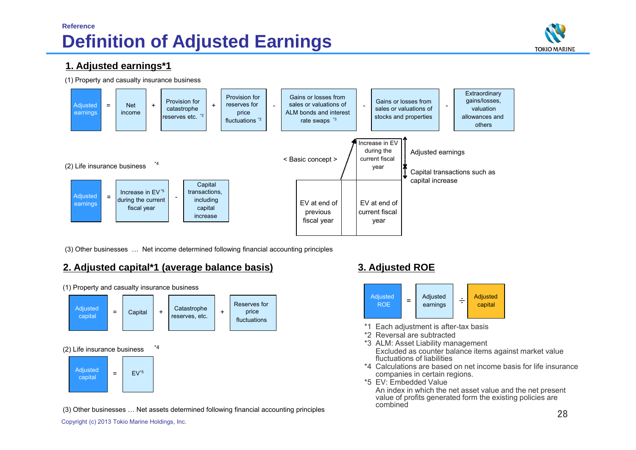# **Reference Definition of Adjusted Earnings**



# **1. Adjusted earnings\*1**

(1) Property and casualty insurance business



(3) Other businesses … Net income determined following financial accounting principles

# **2. Adjusted capital\*1 (average balance basis) 3. Adjusted ROE**



(1) Property and casualty insurance business



- \*1 Each adjustment is after-tax basis
- \*2 Reversal are subtracted
- \*3 ALM: Asset Liability management Excluded as counter balance items against market value fluctuations of liabilities
- \*4 Calculations are based on net income basis for life insurance companies in certain regions.
- \*5 EV: Embedded Value

An index in which the net asset value and the net present value of profits generated form the existing policies are combined